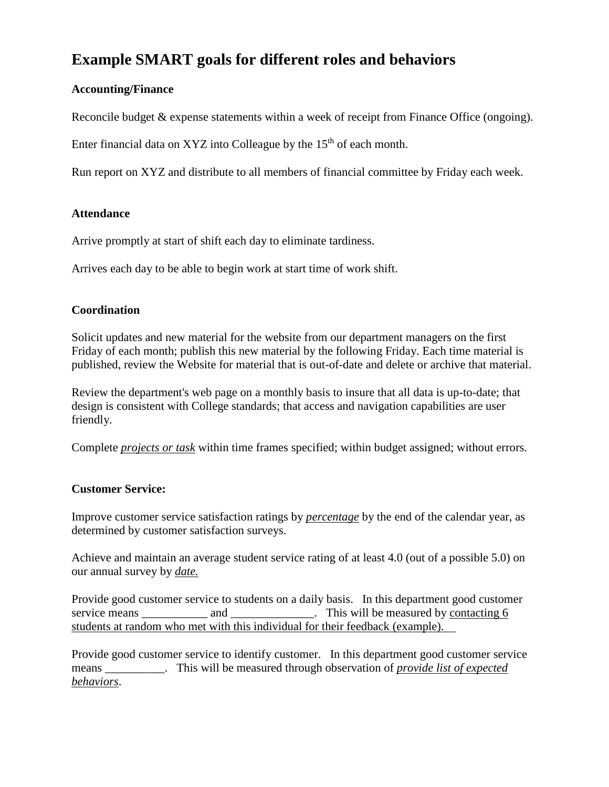# **Example SMART goals for different roles and behaviors**

# **Accounting/Finance**

Reconcile budget & expense statements within a week of receipt from Finance Office (ongoing).

Enter financial data on XYZ into Colleague by the  $15<sup>th</sup>$  of each month.

Run report on XYZ and distribute to all members of financial committee by Friday each week.

# **Attendance**

Arrive promptly at start of shift each day to eliminate tardiness.

Arrives each day to be able to begin work at start time of work shift.

# **Coordination**

Solicit updates and new material for the website from our department managers on the first Friday of each month; publish this new material by the following Friday. Each time material is published, review the Website for material that is out-of-date and delete or archive that material.

Review the department's web page on a monthly basis to insure that all data is up-to-date; that design is consistent with College standards; that access and navigation capabilities are user friendly.

[C](http://www.cscc.edu/about/hcd/planning/#Top)omplete *projects or task* within time frames specified; within budget assigned; without errors.

# **Customer Service:**

Improve customer service satisfaction ratings by *percentage* by the end of the calendar year, as determined by customer satisfaction surveys.

Achieve and maintain an average student service rating of at least 4.0 (out of a possible 5.0) on our annual survey by *date.*

Provide good customer service to students on a daily basis. In this department good customer service means and and  $\qquad$ . This will be measured by contacting 6 students at random who met with this individual for their feedback (example).

Provide good customer service to identify customer. In this department good customer service means \_\_\_\_\_\_\_\_\_\_. This will be measured through observation of *provide list of expected behaviors*.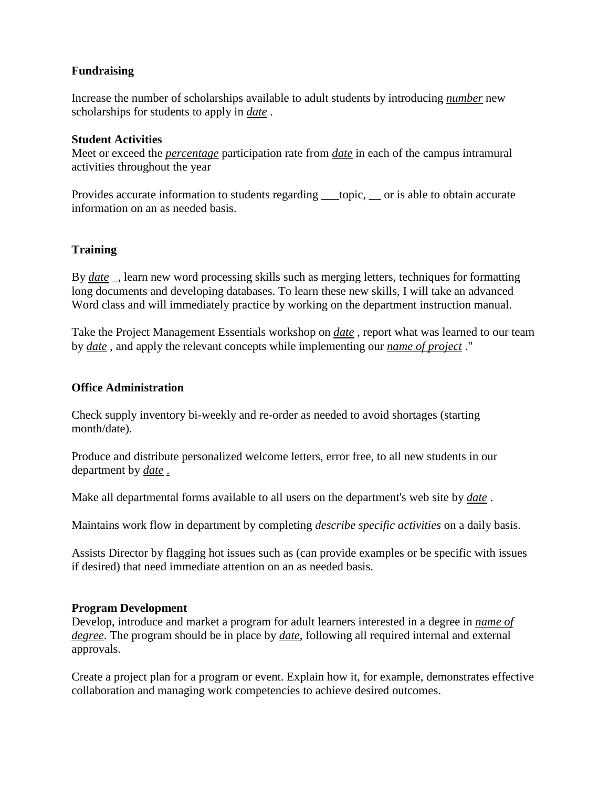# **Fundraising**

Increase the number of scholarships available to adult students by introducing *number* new scholarships for students to apply in *date* .

#### **Student Activities**

Meet or exceed the *percentage* participation rate from *date* in each of the campus intramural activities throughout the year

Provides accurate information to students regarding \_\_\_topic, \_\_ or is able to obtain accurate information on an as needed basis.

# **Training**

By *date* \_, learn new word processing skills such as merging letters, techniques for formatting long documents and developing databases. To learn these new skills, I will take an advanced Word class and will immediately practice by working on the department instruction manual.

Take the Project Management Essentials workshop on *date* , report what was learned to our team by *date* , and apply the relevant concepts while implementing our *name of project* ."

#### **Office Administration**

Check supply inventory bi-weekly and re-order as needed to avoid shortages (starting month/date).

Produce and distribute personalized welcome letters, error free, to all new students in our department by *date* .

Make all departmental forms available to all users on the department's web site by *date* .

Maintains work flow in department by completing *describe specific activities* on a daily basis.

Assists Director by flagging hot issues such as (can provide examples or be specific with issues if desired) that need immediate attention on an as needed basis.

#### **Program Development**

Develop, introduce and market a program for adult learners interested in a degree in *name of degree*. The program should be in place by *date*, following all required internal and external approvals.

Create a project plan for a program or event. Explain how it, for example, demonstrates effective collaboration and managing work competencies to achieve desired outcomes.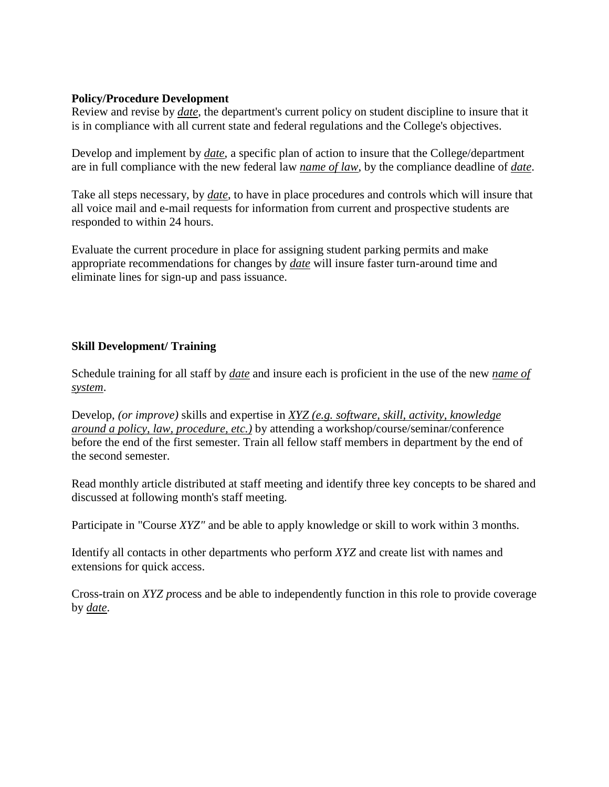#### **Policy/Procedure Development**

Review and revise by *date*, the department's current policy on student discipline to insure that it is in compliance with all current state and federal regulations and the College's objectives.

Develop and implement by *date*, a specific plan of action to insure that the College/department are in full compliance with the new federal law *name of law*, by the compliance deadline of *date*.

Take all steps necessary, by *date*, to have in place procedures and controls which will insure that all voice mail and e-mail requests for information from current and prospective students are responded to within 24 hours.

Evaluate the current procedure in place for assigning student parking permits and make appropriate recommendations for changes by *date* will insure faster turn-around time and eliminate lines for sign-up and pass issuance.

# **Skill Development/ Training**

Schedule training for all staff by *date* and insure each is proficient in the use of the new *name of system*.

Develop, *(or improve)* skills and expertise in *XYZ (e.g. software, skill, activity, knowledge around a policy, law, procedure, etc.)* by attending a workshop/course/seminar/conference before the end of the first semester. Train all fellow staff members in department by the end of the second semester.

Read monthly article distributed at staff meeting and identify three key concepts to be shared and discussed at following month's staff meeting.

Participate in "Course *XYZ"* and be able to apply knowledge or skill to work within 3 months.

Identify all contacts in other departments who perform *XYZ* and create list with names and extensions for quick access.

Cross-train on *XYZ p*rocess and be able to independently function in this role to provide coverage by *date*.